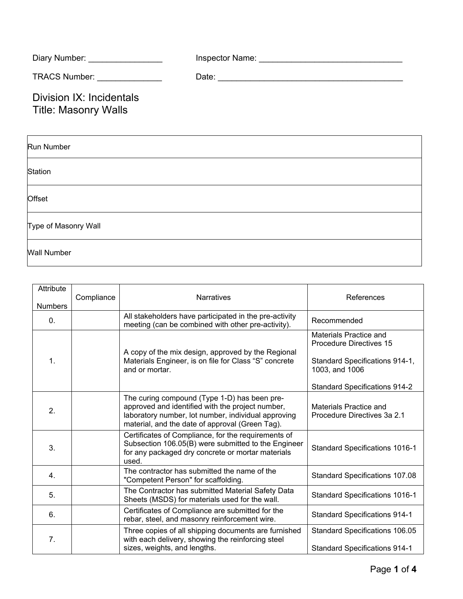| Diary Number:                                           | Inspector Name: |
|---------------------------------------------------------|-----------------|
| TRACS Number: TRACS Number:                             | Date:           |
| Division IX: Incidentals<br><b>Title: Masonry Walls</b> |                 |
|                                                         |                 |

| Run Number           |
|----------------------|
| Station              |
| Offset               |
| Type of Masonry Wall |
| <b>Wall Number</b>   |

| Attribute      |            |                                                                                                                                                                                                            |                                                          |
|----------------|------------|------------------------------------------------------------------------------------------------------------------------------------------------------------------------------------------------------------|----------------------------------------------------------|
| <b>Numbers</b> | Compliance | <b>Narratives</b>                                                                                                                                                                                          | References                                               |
| 0.             |            | All stakeholders have participated in the pre-activity<br>meeting (can be combined with other pre-activity).                                                                                               | Recommended                                              |
|                |            | A copy of the mix design, approved by the Regional                                                                                                                                                         | Materials Practice and<br><b>Procedure Directives 15</b> |
| 1.             |            | Materials Engineer, is on file for Class "S" concrete<br>and or mortar.                                                                                                                                    | Standard Specifications 914-1,<br>1003, and 1006         |
|                |            |                                                                                                                                                                                                            | <b>Standard Specifications 914-2</b>                     |
| 2.             |            | The curing compound (Type 1-D) has been pre-<br>approved and identified with the project number,<br>laboratory number, lot number, individual approving<br>material, and the date of approval (Green Tag). | Materials Practice and<br>Procedure Directives 3a 2.1    |
| 3.             |            | Certificates of Compliance, for the requirements of<br>Subsection 106.05(B) were submitted to the Engineer<br>for any packaged dry concrete or mortar materials<br>used.                                   | <b>Standard Specifications 1016-1</b>                    |
| 4.             |            | The contractor has submitted the name of the<br>"Competent Person" for scaffolding.                                                                                                                        | Standard Specifications 107.08                           |
| 5.             |            | The Contractor has submitted Material Safety Data<br>Sheets (MSDS) for materials used for the wall.                                                                                                        | <b>Standard Specifications 1016-1</b>                    |
| 6.             |            | Certificates of Compliance are submitted for the<br>rebar, steel, and masonry reinforcement wire.                                                                                                          | <b>Standard Specifications 914-1</b>                     |
| 7.             |            | Three copies of all shipping documents are furnished<br>with each delivery, showing the reinforcing steel                                                                                                  | Standard Specifications 106.05                           |
|                |            | sizes, weights, and lengths.                                                                                                                                                                               | <b>Standard Specifications 914-1</b>                     |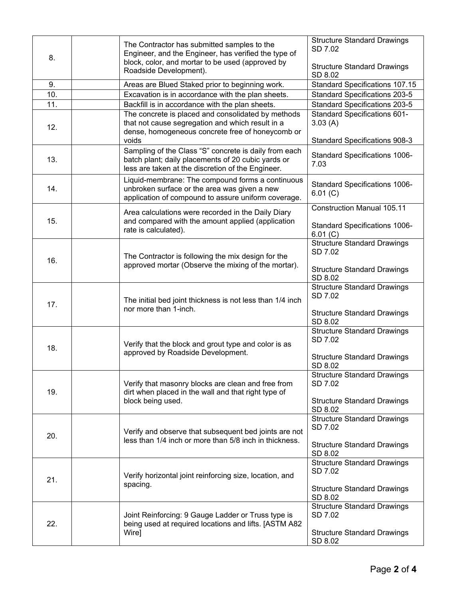|     | The Contractor has submitted samples to the                                                                                                                         | <b>Structure Standard Drawings</b><br>SD 7.02                                          |
|-----|---------------------------------------------------------------------------------------------------------------------------------------------------------------------|----------------------------------------------------------------------------------------|
| 8.  | Engineer, and the Engineer, has verified the type of<br>block, color, and mortar to be used (approved by<br>Roadside Development).                                  | <b>Structure Standard Drawings</b><br>SD 8.02                                          |
| 9.  | Areas are Blued Staked prior to beginning work.                                                                                                                     | Standard Specifications 107.15                                                         |
| 10. | Excavation is in accordance with the plan sheets.                                                                                                                   | <b>Standard Specifications 203-5</b>                                                   |
| 11. | Backfill is in accordance with the plan sheets.                                                                                                                     | <b>Standard Specifications 203-5</b>                                                   |
| 12. | The concrete is placed and consolidated by methods<br>that not cause segregation and which result in a<br>dense, homogeneous concrete free of honeycomb or<br>voids | <b>Standard Specifications 601-</b><br>3.03(A)<br><b>Standard Specifications 908-3</b> |
| 13. | Sampling of the Class "S" concrete is daily from each<br>batch plant; daily placements of 20 cubic yards or<br>less are taken at the discretion of the Engineer.    | Standard Specifications 1006-<br>7.03                                                  |
| 14. | Liquid-membrane: The compound forms a continuous<br>unbroken surface or the area was given a new<br>application of compound to assure uniform coverage.             | <b>Standard Specifications 1006-</b><br>6.01 (C)                                       |
|     | Area calculations were recorded in the Daily Diary                                                                                                                  | <b>Construction Manual 105.11</b>                                                      |
| 15. | and compared with the amount applied (application<br>rate is calculated).                                                                                           | Standard Specifications 1006-<br>6.01(C)                                               |
| 16. | The Contractor is following the mix design for the<br>approved mortar (Observe the mixing of the mortar).                                                           | <b>Structure Standard Drawings</b><br>SD 7.02                                          |
|     |                                                                                                                                                                     | <b>Structure Standard Drawings</b><br>SD 8.02                                          |
| 17. | The initial bed joint thickness is not less than 1/4 inch<br>nor more than 1-inch.                                                                                  | <b>Structure Standard Drawings</b><br>SD 7.02                                          |
|     |                                                                                                                                                                     | <b>Structure Standard Drawings</b><br>SD 8.02<br><b>Structure Standard Drawings</b>    |
| 18. | Verify that the block and grout type and color is as<br>approved by Roadside Development.                                                                           | SD 7.02                                                                                |
|     |                                                                                                                                                                     | <b>Structure Standard Drawings</b><br>SD 8.02                                          |
| 19. | Verify that masonry blocks are clean and free from<br>dirt when placed in the wall and that right type of<br>block being used.                                      | <b>Structure Standard Drawings</b><br>SD 7.02                                          |
|     |                                                                                                                                                                     | <b>Structure Standard Drawings</b><br>SD 8.02                                          |
|     |                                                                                                                                                                     | <b>Structure Standard Drawings</b>                                                     |
|     | Verify and observe that subsequent bed joints are not                                                                                                               | SD 7.02                                                                                |
| 20. | less than 1/4 inch or more than 5/8 inch in thickness.                                                                                                              | <b>Structure Standard Drawings</b><br>SD 8.02                                          |
|     |                                                                                                                                                                     | <b>Structure Standard Drawings</b>                                                     |
|     | Verify horizontal joint reinforcing size, location, and                                                                                                             | SD 7.02                                                                                |
| 21. | spacing.                                                                                                                                                            | <b>Structure Standard Drawings</b><br>SD 8.02                                          |
|     |                                                                                                                                                                     | <b>Structure Standard Drawings</b>                                                     |
| 22. | Joint Reinforcing: 9 Gauge Ladder or Truss type is<br>being used at required locations and lifts. [ASTM A82<br>Wire]                                                | SD 7.02                                                                                |
|     |                                                                                                                                                                     | <b>Structure Standard Drawings</b><br>SD 8.02                                          |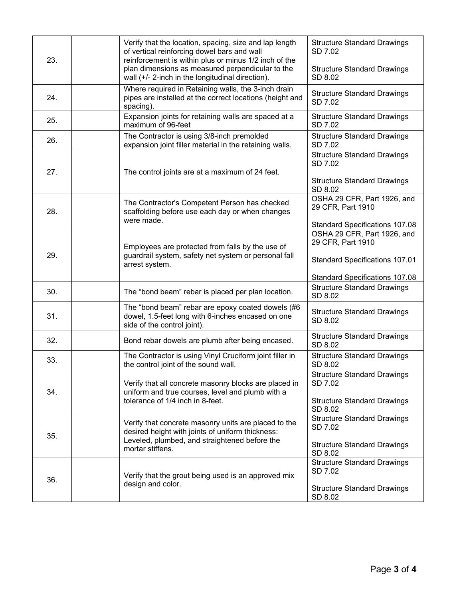| 23. |                                                 | Verify that the location, spacing, size and lap length<br>of vertical reinforcing dowel bars and wall<br>reinforcement is within plus or minus 1/2 inch of the | <b>Structure Standard Drawings</b><br>SD 7.02    |
|-----|-------------------------------------------------|----------------------------------------------------------------------------------------------------------------------------------------------------------------|--------------------------------------------------|
|     |                                                 | plan dimensions as measured perpendicular to the<br>wall (+/- 2-inch in the longitudinal direction).                                                           | <b>Structure Standard Drawings</b><br>SD 8.02    |
| 24. |                                                 | Where required in Retaining walls, the 3-inch drain<br>pipes are installed at the correct locations (height and<br>spacing).                                   | <b>Structure Standard Drawings</b><br>SD 7.02    |
| 25. |                                                 | Expansion joints for retaining walls are spaced at a<br>maximum of 96-feet                                                                                     | <b>Structure Standard Drawings</b><br>SD 7.02    |
| 26. |                                                 | The Contractor is using 3/8-inch premolded<br>expansion joint filler material in the retaining walls.                                                          | <b>Structure Standard Drawings</b><br>SD 7.02    |
| 27. | The control joints are at a maximum of 24 feet. |                                                                                                                                                                | <b>Structure Standard Drawings</b><br>SD 7.02    |
|     |                                                 |                                                                                                                                                                | <b>Structure Standard Drawings</b><br>SD 8.02    |
| 28. |                                                 | The Contractor's Competent Person has checked<br>scaffolding before use each day or when changes<br>were made.                                                 | OSHA 29 CFR, Part 1926, and<br>29 CFR, Part 1910 |
|     |                                                 |                                                                                                                                                                | <b>Standard Specifications 107.08</b>            |
| 29. |                                                 | Employees are protected from falls by the use of<br>guardrail system, safety net system or personal fall<br>arrest system.                                     | OSHA 29 CFR, Part 1926, and<br>29 CFR, Part 1910 |
|     |                                                 |                                                                                                                                                                | <b>Standard Specifications 107.01</b>            |
|     |                                                 |                                                                                                                                                                | Standard Specifications 107.08                   |
| 30. |                                                 | The "bond beam" rebar is placed per plan location.                                                                                                             | <b>Structure Standard Drawings</b><br>SD 8.02    |
| 31. |                                                 | The "bond beam" rebar are epoxy coated dowels (#6<br>dowel, 1.5-feet long with 6-inches encased on one<br>side of the control joint).                          | <b>Structure Standard Drawings</b><br>SD 8.02    |
| 32. |                                                 | Bond rebar dowels are plumb after being encased.                                                                                                               | <b>Structure Standard Drawings</b><br>SD 8.02    |
| 33. |                                                 | The Contractor is using Vinyl Cruciform joint filler in<br>the control joint of the sound wall.                                                                | <b>Structure Standard Drawings</b><br>SD 8.02    |
| 34. |                                                 | Verify that all concrete masonry blocks are placed in<br>uniform and true courses, level and plumb with a<br>tolerance of 1/4 inch in 8-feet.                  | <b>Structure Standard Drawings</b><br>SD 7.02    |
|     |                                                 |                                                                                                                                                                | <b>Structure Standard Drawings</b><br>SD 8.02    |
| 35. | mortar stiffens.                                | Verify that concrete masonry units are placed to the<br>desired height with joints of uniform thickness:                                                       | <b>Structure Standard Drawings</b><br>SD 7.02    |
|     |                                                 | Leveled, plumbed, and straightened before the                                                                                                                  | <b>Structure Standard Drawings</b><br>SD 8.02    |
| 36. |                                                 | Verify that the grout being used is an approved mix<br>design and color.                                                                                       | <b>Structure Standard Drawings</b><br>SD 7.02    |
|     |                                                 |                                                                                                                                                                | <b>Structure Standard Drawings</b><br>SD 8.02    |